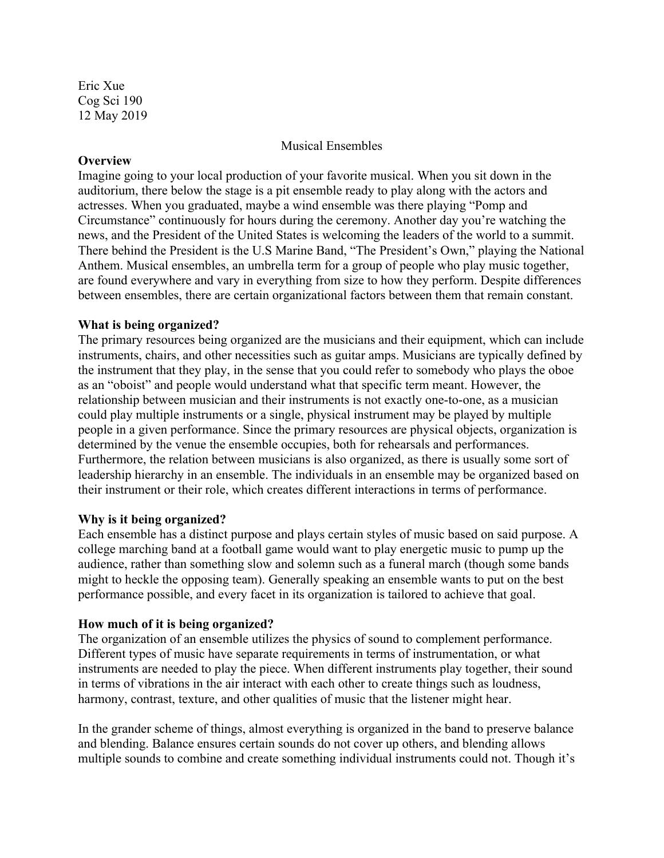Eric Xue Cog Sci 190 12 May 2019

### Musical Ensembles

#### **Overview**

Imagine going to your local production of your favorite musical. When you sit down in the auditorium, there below the stage is a pit ensemble ready to play along with the actors and actresses. When you graduated, maybe a wind ensemble was there playing "Pomp and Circumstance" continuously for hours during the ceremony. Another day you're watching the news, and the President of the United States is welcoming the leaders of the world to a summit. There behind the President is the U.S Marine Band, "The President's Own," playing the National Anthem. Musical ensembles, an umbrella term for a group of people who play music together, are found everywhere and vary in everything from size to how they perform. Despite differences between ensembles, there are certain organizational factors between them that remain constant.

### **What is being organized?**

The primary resources being organized are the musicians and their equipment, which can include instruments, chairs, and other necessities such as guitar amps. Musicians are typically defined by the instrument that they play, in the sense that you could refer to somebody who plays the oboe as an "oboist" and people would understand what that specific term meant. However, the relationship between musician and their instruments is not exactly one-to-one, as a musician could play multiple instruments or a single, physical instrument may be played by multiple people in a given performance. Since the primary resources are physical objects, organization is determined by the venue the ensemble occupies, both for rehearsals and performances. Furthermore, the relation between musicians is also organized, as there is usually some sort of leadership hierarchy in an ensemble. The individuals in an ensemble may be organized based on their instrument or their role, which creates different interactions in terms of performance.

#### **Why is it being organized?**

Each ensemble has a distinct purpose and plays certain styles of music based on said purpose. A college marching band at a football game would want to play energetic music to pump up the audience, rather than something slow and solemn such as a funeral march (though some bands might to heckle the opposing team). Generally speaking an ensemble wants to put on the best performance possible, and every facet in its organization is tailored to achieve that goal.

### **How much of it is being organized?**

The organization of an ensemble utilizes the physics of sound to complement performance. Different types of music have separate requirements in terms of instrumentation, or what instruments are needed to play the piece. When different instruments play together, their sound in terms of vibrations in the air interact with each other to create things such as loudness, harmony, contrast, texture, and other qualities of music that the listener might hear.

In the grander scheme of things, almost everything is organized in the band to preserve balance and blending. Balance ensures certain sounds do not cover up others, and blending allows multiple sounds to combine and create something individual instruments could not. Though it's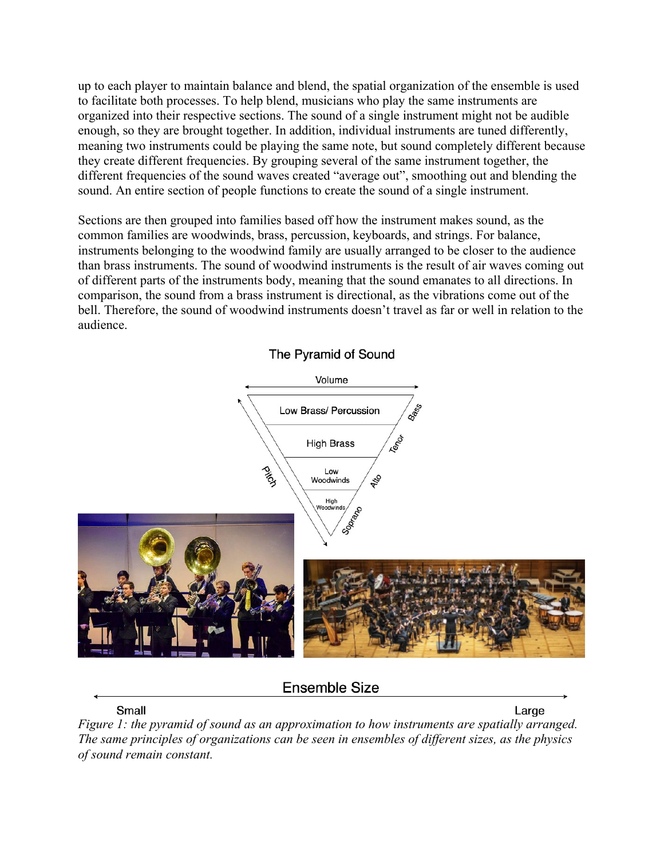up to each player to maintain balance and blend, the spatial organization of the ensemble is used to facilitate both processes. To help blend, musicians who play the same instruments are organized into their respective sections. The sound of a single instrument might not be audible enough, so they are brought together. In addition, individual instruments are tuned differently, meaning two instruments could be playing the same note, but sound completely different because they create different frequencies. By grouping several of the same instrument together, the different frequencies of the sound waves created "average out", smoothing out and blending the sound. An entire section of people functions to create the sound of a single instrument.

Sections are then grouped into families based off how the instrument makes sound, as the common families are woodwinds, brass, percussion, keyboards, and strings. For balance, instruments belonging to the woodwind family are usually arranged to be closer to the audience than brass instruments. The sound of woodwind instruments is the result of air waves coming out of different parts of the instruments body, meaning that the sound emanates to all directions. In comparison, the sound from a brass instrument is directional, as the vibrations come out of the bell. Therefore, the sound of woodwind instruments doesn't travel as far or well in relation to the audience.



# The Pyramid of Sound

# **Ensemble Size**

Large

*Figure 1: the pyramid of sound as an approximation to how instruments are spatially arranged. The same principles of organizations can be seen in ensembles of different sizes, as the physics of sound remain constant.* 

Small